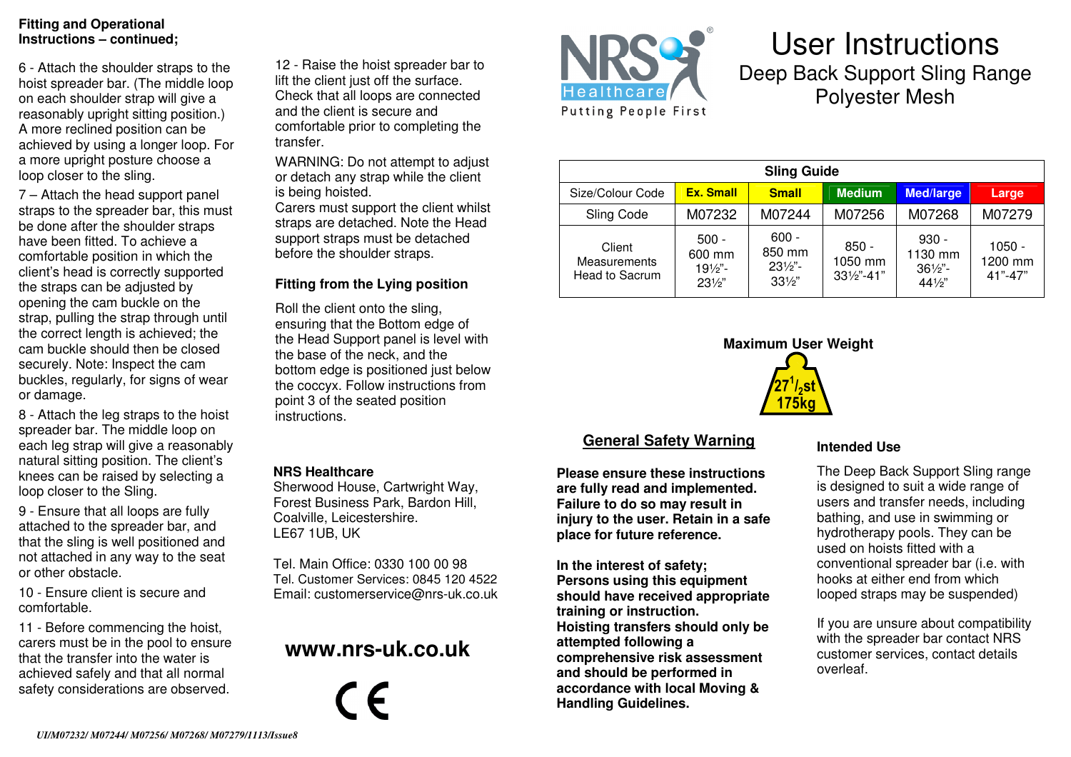#### **Fitting and Operational Instructions – continued;**

6 - Attach the shoulder straps to the hoist spreader bar. (The middle loop on each shoulder strap will give a reasonably upright sitting position.) A more reclined position can be achieved by using a longer loop. For a more upright posture choose a loop closer to the sling.

7 – Attach the head support panel straps to the spreader bar, this must be done after the shoulder straps have been fitted. To achieve a comfortable position in which the client's head is correctly supported the straps can be adjusted by opening the cam buckle on the strap, pulling the strap through until the correct length is achieved; the cam buckle should then be closed securely. Note: Inspect the cam buckles, regularly, for signs of wear or damage.

8 - Attach the leg straps to the hoist spreader bar. The middle loop on each leg strap will give a reasonably natural sitting position. The client's knees can be raised by selecting a loop closer to the Sling.

9 - Ensure that all loops are fully attached to the spreader bar, and that the sling is well positioned and not attached in any way to the seat or other obstacle.

10 - Ensure client is secure and comfortable.

11 - Before commencing the hoist, carers must be in the pool to ensure that the transfer into the water is achieved safely and that all normal safety considerations are observed.

12 - Raise the hoist spreader bar to lift the client just off the surface. Check that all loops are connected and the client is secure and comfortable prior to completing the transfer.

WARNING: Do not attempt to adjust or detach any strap while the client is being hoisted.

 Carers must support the client whilst straps are detached. Note the Head support straps must be detached before the shoulder straps.

#### **Fitting from the Lying position**

Roll the client onto the sling, ensuring that the Bottom edge of the Head Support panel is level with the base of the neck, and the bottom edge is positioned just below the coccyx. Follow instructions from point 3 of the seated position instructions.

#### **NRS Healthcare**

 Sherwood House, Cartwright Way, Forest Business Park, Bardon Hill, Coalville, Leicestershire. LE67 1UB, UK

Tel. Main Office: 0330 100 00 98 Tel. Customer Services: 0845 120 4522 Email: customerservice@nrs-uk.co.uk

# **www.nrs-uk.co.uk**





# User Instructions Deep Back Support Sling Range Polyester Mesh

| <b>Sling Guide</b>                       |                                                           |                                                           |                                             |                                                            |                                |
|------------------------------------------|-----------------------------------------------------------|-----------------------------------------------------------|---------------------------------------------|------------------------------------------------------------|--------------------------------|
| Size/Colour Code                         | <b>Ex. Small</b>                                          | <b>Small</b>                                              | <b>Medium</b>                               | <b>Med/large</b>                                           | Large                          |
| Sling Code                               | M07232                                                    | M07244                                                    | M07256                                      | M07268                                                     | M07279                         |
| Client<br>Measurements<br>Head to Sacrum | $500 -$<br>600 mm<br>$19\frac{1}{2}$ .<br>$23\frac{1}{2}$ | $600 -$<br>850 mm<br>$23\frac{1}{2}$ .<br>$33\frac{1}{2}$ | $850 -$<br>1050 mm<br>$33\frac{1}{2}$ "-41" | $930 -$<br>1130 mm<br>$36\frac{1}{2}$ .<br>$44\frac{1}{2}$ | 1050 -<br>1200 mm<br>$41 - 47$ |



## **General Safety Warning**

**Please ensure these instructions are fully read and implemented. Failure to do so may result in injury to the user. Retain in a safe place for future reference.** 

**In the interest of safety; Persons using this equipment should have received appropriate training or instruction. Hoisting transfers should only be attempted following a comprehensive risk assessment and should be performed in accordance with local Moving & Handling Guidelines.** 

#### **Intended Use**

The Deep Back Support Sling range is designed to suit a wide range of users and transfer needs, including bathing, and use in swimming or hydrotherapy pools. They can be used on hoists fitted with a conventional spreader bar (i.e. with hooks at either end from which looped straps may be suspended)

If you are unsure about compatibility with the spreader bar contact NRS customer services, contact details overleaf.